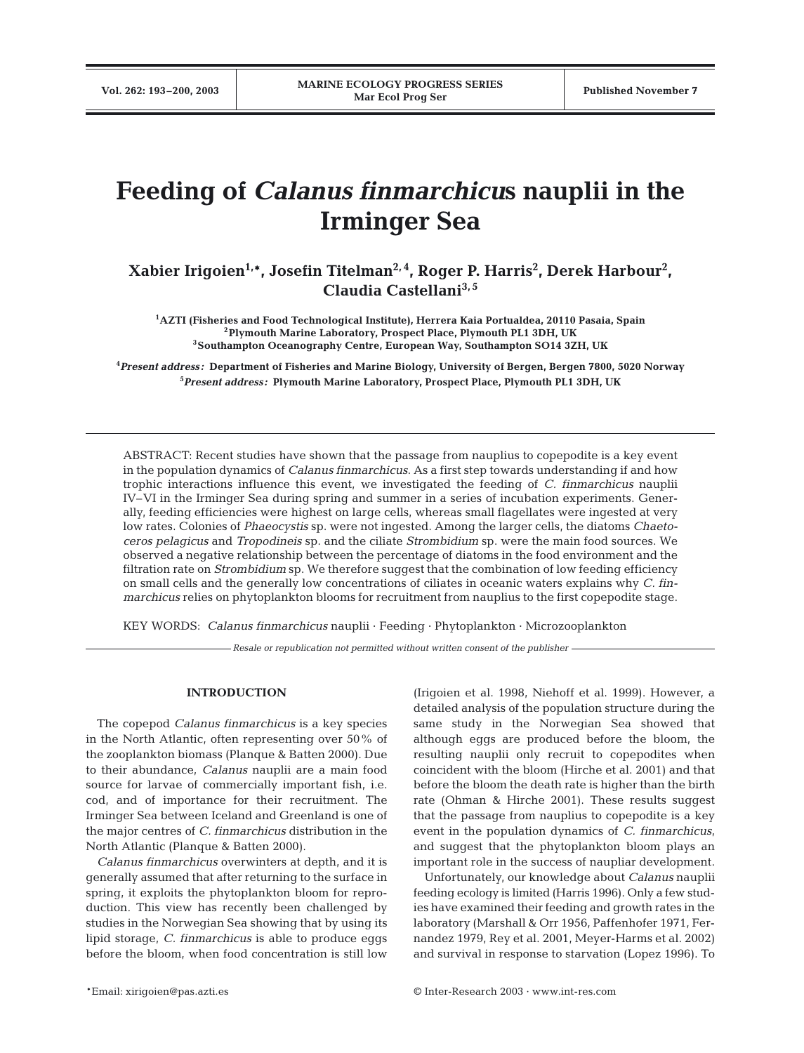# **Feeding of** *Calanus finmarchicu***s nauplii in the Irminger Sea**

# **Xabier Irigoien1,\*, Josefin Titelman2, 4, Roger P. Harris2 , Derek Harbour2 , Claudia Castellani3, 5**

**1AZTI (Fisheries and Food Technological Institute), Herrera Kaia Portualdea, 20110 Pasaia, Spain 2Plymouth Marine Laboratory, Prospect Place, Plymouth PL1 3DH, UK 3Southampton Oceanography Centre, European Way, Southampton SO14 3ZH, UK**

**4** *Present address:* **Department of Fisheries and Marine Biology, University of Bergen, Bergen 7800, 5020 Norway 5** *Present address:* **Plymouth Marine Laboratory, Prospect Place, Plymouth PL1 3DH, UK**

ABSTRACT: Recent studies have shown that the passage from nauplius to copepodite is a key event in the population dynamics of *Calanus finmarchicus*. As a first step towards understanding if and how trophic interactions influence this event, we investigated the feeding of *C. finmarchicus* nauplii IV–VI in the Irminger Sea during spring and summer in a series of incubation experiments. Generally, feeding efficiencies were highest on large cells, whereas small flagellates were ingested at very low rates. Colonies of *Phaeocystis* sp. were not ingested. Among the larger cells, the diatoms *Chaetoceros pelagicus* and *Tropodineis* sp. and the ciliate *Strombidium* sp. were the main food sources. We observed a negative relationship between the percentage of diatoms in the food environment and the filtration rate on *Strombidium* sp. We therefore suggest that the combination of low feeding efficiency on small cells and the generally low concentrations of ciliates in oceanic waters explains why *C. finmarchicus* relies on phytoplankton blooms for recruitment from nauplius to the first copepodite stage.

KEY WORDS: *Calanus finmarchicus* nauplii · Feeding · Phytoplankton · Microzooplankton

*Resale or republication not permitted without written consent of the publisher*

# **INTRODUCTION**

The copepod *Calanus finmarchicus* is a key species in the North Atlantic, often representing over 50% of the zooplankton biomass (Planque & Batten 2000). Due to their abundance, *Calanus* nauplii are a main food source for larvae of commercially important fish, i.e. cod, and of importance for their recruitment. The Irminger Sea between Iceland and Greenland is one of the major centres of *C. finmarchicus* distribution in the North Atlantic (Planque & Batten 2000).

*Calanus finmarchicus* overwinters at depth, and it is generally assumed that after returning to the surface in spring, it exploits the phytoplankton bloom for reproduction. This view has recently been challenged by studies in the Norwegian Sea showing that by using its lipid storage, *C. finmarchicus* is able to produce eggs before the bloom, when food concentration is still low

(Irigoien et al. 1998, Niehoff et al. 1999). However, a detailed analysis of the population structure during the same study in the Norwegian Sea showed that although eggs are produced before the bloom, the resulting nauplii only recruit to copepodites when coincident with the bloom (Hirche et al. 2001) and that before the bloom the death rate is higher than the birth rate (Ohman & Hirche 2001). These results suggest that the passage from nauplius to copepodite is a key event in the population dynamics of *C. finmarchicus,* and suggest that the phytoplankton bloom plays an important role in the success of naupliar development.

Unfortunately, our knowledge about *Calanus* nauplii feeding ecology is limited (Harris 1996). Only a few studies have examined their feeding and growth rates in the laboratory (Marshall & Orr 1956, Paffenhofer 1971, Fernandez 1979, Rey et al. 2001, Meyer-Harms et al. 2002) and survival in response to starvation (Lopez 1996). To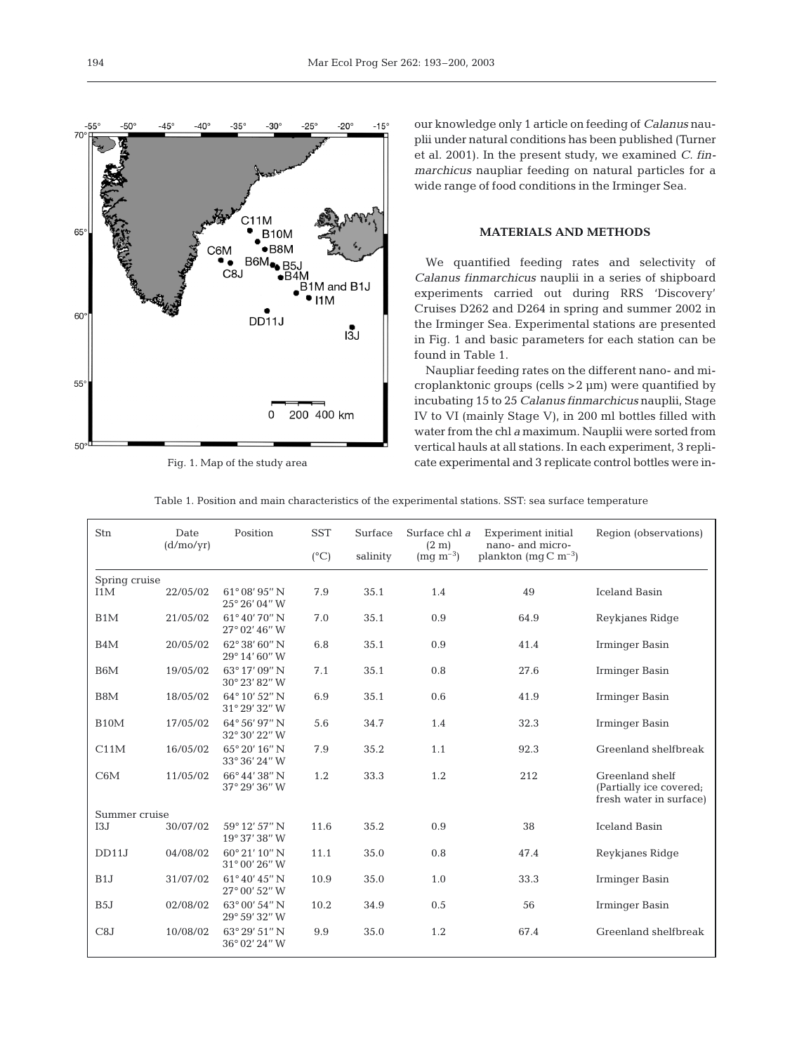

Fig. 1. Map of the study area

our knowledge only 1 article on feeding of *Calanus* nauplii under natural conditions has been published (Turner et al. 2001). In the present study, we examined *C. finmarchicus* naupliar feeding on natural particles for a wide range of food conditions in the Irminger Sea.

# **MATERIALS AND METHODS**

We quantified feeding rates and selectivity of *Calanus finmarchicus* nauplii in a series of shipboard experiments carried out during RRS 'Discovery' Cruises D262 and D264 in spring and summer 2002 in the Irminger Sea. Experimental stations are presented in Fig. 1 and basic parameters for each station can be found in Table 1.

Naupliar feeding rates on the different nano- and microplanktonic groups (cells >2 µm) were quantified by incubating 15 to 25 *Calanus finmarchicus* nauplii, Stage IV to VI (mainly Stage V), in 200 ml bottles filled with water from the chl *a* maximum. Nauplii were sorted from vertical hauls at all stations. In each experiment, 3 replicate experimental and 3 replicate control bottles were in-

| Table 1. Position and main characteristics of the experimental stations. SST: sea surface temperature |  |
|-------------------------------------------------------------------------------------------------------|--|
|-------------------------------------------------------------------------------------------------------|--|

| Stn               | Date<br>(d/mol/yr) | Position                                       | <b>SST</b>    | Surface  | Surface chl a<br>(2 m) | <b>Experiment</b> initial<br>nano- and micro- | Region (observations)                                                 |
|-------------------|--------------------|------------------------------------------------|---------------|----------|------------------------|-----------------------------------------------|-----------------------------------------------------------------------|
|                   |                    |                                                | $(^{\circ}C)$ | salinity | $(mg m^{-3})$          | plankton (mg $C m^{-3}$ )                     |                                                                       |
| Spring cruise     |                    |                                                |               |          |                        |                                               |                                                                       |
| I1M               | 22/05/02           | $61^{\circ}08'95''$ N<br>25° 26' 04" W         | 7.9           | 35.1     | 1.4                    | 49                                            | <b>Iceland Basin</b>                                                  |
| B1M               | 21/05/02           | 61°40′70″N<br>$27^{\circ}$ 02' 46" W           | 7.0           | 35.1     | 0.9                    | 64.9                                          | Reykjanes Ridge                                                       |
| B4M               | 20/05/02           | $62^{\circ}38'60''$ N<br>29° 14' 60" W         | 6.8           | 35.1     | 0.9                    | 41.4                                          | Irminger Basin                                                        |
| B <sub>6</sub> M  | 19/05/02           | $63^{\circ}$ 17' 09" N<br>30° 23' 82" W        | 7.1           | 35.1     | 0.8                    | 27.6                                          | Irminger Basin                                                        |
| B8M               | 18/05/02           | 64°10'52" N<br>31° 29' 32" W                   | 6.9           | 35.1     | 0.6                    | 41.9                                          | Irminger Basin                                                        |
| B <sub>10</sub> M | 17/05/02           | $64^{\circ}56'97''$ N<br>32° 30' 22" W         | 5.6           | 34.7     | 1.4                    | 32.3                                          | Irminger Basin                                                        |
| C11M              | 16/05/02           | 65° 20' 16" N<br>33° 36' 24" W                 | 7.9           | 35.2     | 1.1                    | 92.3                                          | Greenland shelfbreak                                                  |
| C6M               | 11/05/02           | 66°44′38″ N<br>37° 29′ 36″ W                   | 1.2           | 33.3     | 1.2                    | 212                                           | Greenland shelf<br>(Partially ice covered;<br>fresh water in surface) |
| Summer cruise     |                    |                                                |               |          |                        |                                               |                                                                       |
| I3J               | 30/07/02           | 59° 12' 57" N<br>19° 37' 38" W                 | 11.6          | 35.2     | 0.9                    | 38                                            | <b>Iceland Basin</b>                                                  |
| DD11J             | 04/08/02           | $60^{\circ}21'10''$ N<br>$31^{\circ}00'26''$ W | 11.1          | 35.0     | 0.8                    | 47.4                                          | Reykjanes Ridge                                                       |
| B1J               | 31/07/02           | $61^{\circ}40'45''$ N<br>27° 00' 52" W         | 10.9          | 35.0     | 1.0                    | 33.3                                          | Irminger Basin                                                        |
| B <sub>5</sub> J  | 02/08/02           | 63° 00' 54" N<br>29° 59′ 32″ W                 | 10.2          | 34.9     | 0.5                    | 56                                            | Irminger Basin                                                        |
| C8J               | 10/08/02           | $63^{\circ}$ 29' 51" N<br>36° 02' 24" W        | 9.9           | 35.0     | 1.2                    | 67.4                                          | Greenland shelfbreak                                                  |
|                   |                    |                                                |               |          |                        |                                               |                                                                       |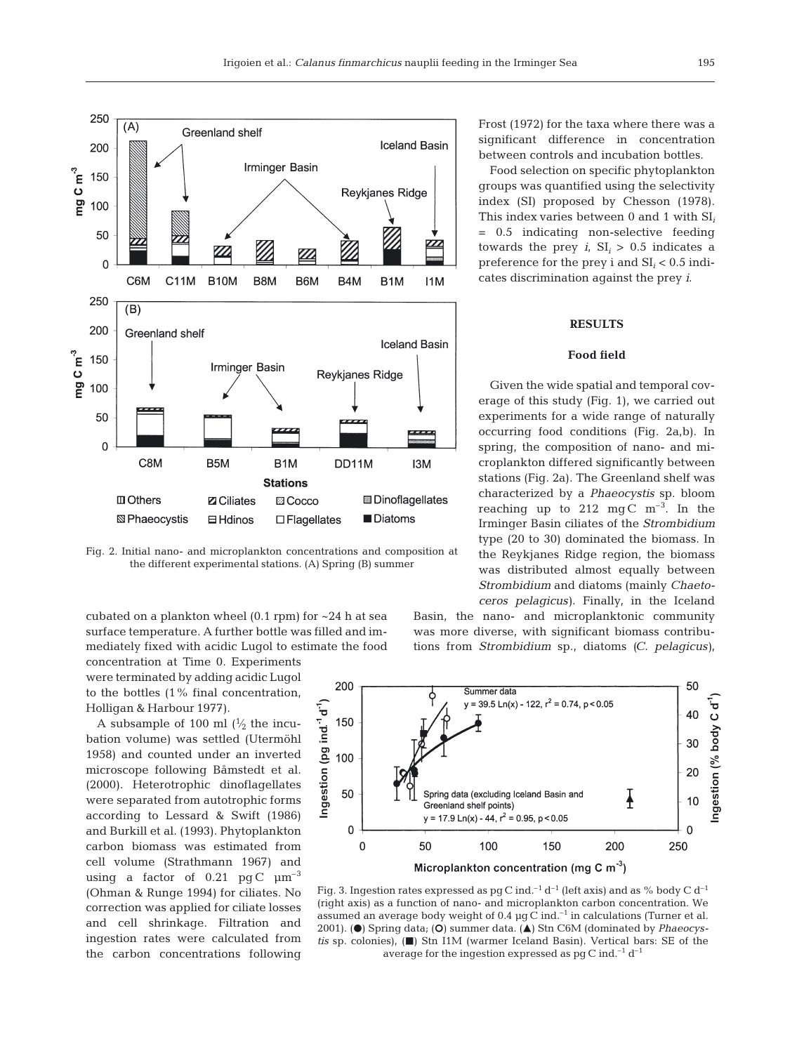

Fig. 2. Initial nano- and microplankton concentrations and composition at the different experimental stations. (A) Spring (B) summer

cubated on a plankton wheel  $(0.1$  rpm) for  $\sim$ 24 h at sea surface temperature. A further bottle was filled and immediately fixed with acidic Lugol to estimate the food

concentration at Time 0. Experiments were terminated by adding acidic Lugol to the bottles (1% final concentration, Holligan & Harbour 1977).

A subsample of 100 ml  $\left(\frac{1}{2}\right)$  the incubation volume) was settled (Utermöhl 1958) and counted under an inverted microscope following Båmstedt et al. (2000). Heterotrophic dinoflagellates were separated from autotrophic forms according to Lessard & Swift (1986) and Burkill et al. (1993). Phytoplankton carbon biomass was estimated from cell volume (Strathmann 1967) and using a factor of  $0.21$  pg C  $\mu$ m<sup>-3</sup> (Ohman & Runge 1994) for ciliates. No correction was applied for ciliate losses and cell shrinkage. Filtration and ingestion rates were calculated from the carbon concentrations following

Frost (1972) for the taxa where there was a significant difference in concentration between controls and incubation bottles.

Food selection on specific phytoplankton groups was quantified using the selectivity index (SI) proposed by Chesson (1978). This index varies between 0 and 1 with SI*<sup>i</sup>* = 0.5 indicating non-selective feeding towards the prey  $i_i$ ,  $SI_i > 0.5$  indicates a preference for the prey i and SI*<sup>i</sup>* < 0.5 indicates discrimination against the prey *i*.

#### **RESULTS**

## **Food field**

Given the wide spatial and temporal coverage of this study (Fig. 1), we carried out experiments for a wide range of naturally occurring food conditions (Fig. 2a,b). In spring, the composition of nano- and microplankton differed significantly between stations (Fig. 2a). The Greenland shelf was characterized by a *Phaeocystis* sp. bloom reaching up to 212 mgC  $m^{-3}$ . In the Irminger Basin ciliates of the *Strombidium* type (20 to 30) dominated the biomass. In the Reykjanes Ridge region, the biomass was distributed almost equally between *Strombidium* and diatoms (mainly *Chaetoceros pelagicus)*. Finally, in the Iceland

Basin, the nano- and microplanktonic community was more diverse, with significant biomass contributions from *Strombidium* sp., diatoms *(C. pelagicus)*,



Fig. 3. Ingestion rates expressed as pg C ind.<sup>-1</sup> d<sup>-1</sup> (left axis) and as % body C d<sup>-1</sup> (right axis) as a function of nano- and microplankton carbon concentration. We assumed an average body weight of 0.4  $\mu$ g C ind.<sup>-1</sup> in calculations (Turner et al. 2001). (●) Spring data; (O) summer data. (**△**) Stn C6M (dominated by *Phaeocystis* sp. colonies), ( $\blacksquare$ ) Stn I1M (warmer Iceland Basin). Vertical bars: SE of the average for the ingestion expressed as  $pg C$  ind.<sup>-1</sup> d<sup>-1</sup>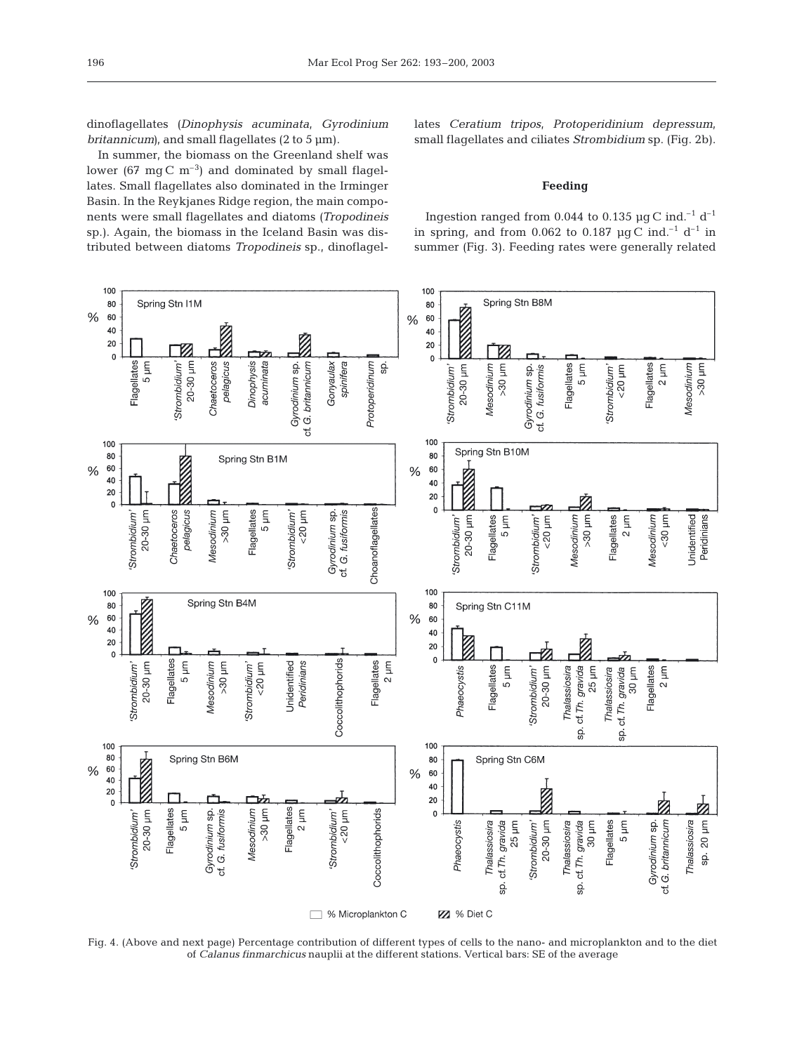dinoflagellates *(Dinophysis acuminata, Gyrodinium britannicum*), and small flagellates (2 to 5 µm).

In summer, the biomass on the Greenland shelf was lower (67 mg C  $m^{-3}$ ) and dominated by small flagellates. Small flagellates also dominated in the Irminger Basin. In the Reykjanes Ridge region, the main components were small flagellates and diatoms *(Tropodineis* sp.). Again, the biomass in the Iceland Basin was distributed between diatoms *Tropodineis* sp., dinoflagellates *Ceratium tripos*, *Protoperidinium depressum*, small flagellates and ciliates *Strombidium* sp. (Fig. 2b).

## **Feeding**

Ingestion ranged from 0.044 to 0.135  $\mu$ g C ind.<sup>-1</sup> d<sup>-1</sup> in spring, and from 0.062 to 0.187  $\mu$ g C ind.<sup>-1</sup> d<sup>-1</sup> in summer (Fig. 3). Feeding rates were generally related



Fig. 4. (Above and next page) Percentage contribution of different types of cells to the nano- and microplankton and to the diet of *Calanus finmarchicus* nauplii at the different stations. Vertical bars: SE of the average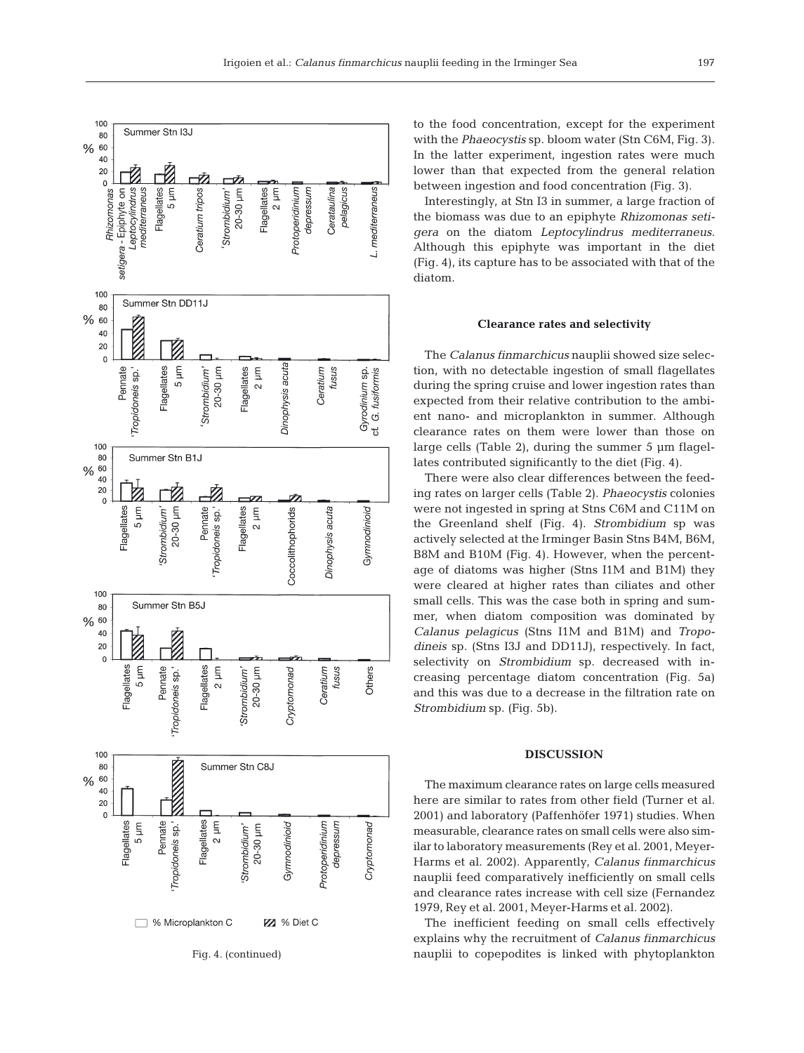

to the food concentration, except for the experiment with the *Phaeocystis* sp. bloom water (Stn C6M, Fig. 3). In the latter experiment, ingestion rates were much lower than that expected from the general relation between ingestion and food concentration (Fig. 3).

Interestingly, at Stn I3 in summer, a large fraction of the biomass was due to an epiphyte *Rhizomonas setigera* on the diatom *Leptocylindrus mediterraneus*. Although this epiphyte was important in the diet (Fig. 4), its capture has to be associated with that of the diatom.

#### **Clearance rates and selectivity**

The *Calanus finmarchicus* nauplii showed size selection, with no detectable ingestion of small flagellates during the spring cruise and lower ingestion rates than expected from their relative contribution to the ambient nano- and microplankton in summer. Although clearance rates on them were lower than those on large cells (Table 2), during the summer 5 µm flagellates contributed significantly to the diet (Fig. 4).

There were also clear differences between the feeding rates on larger cells (Table 2). *Phaeocystis* colonies were not ingested in spring at Stns C6M and C11M on the Greenland shelf (Fig. 4). *Strombidium* sp was actively selected at the Irminger Basin Stns B4M, B6M, B8M and B10M (Fig. 4). However, when the percentage of diatoms was higher (Stns I1M and B1M) they were cleared at higher rates than ciliates and other small cells. This was the case both in spring and summer, when diatom composition was dominated by *Calanus pelagicus* (Stns I1M and B1M) and *Tropodineis* sp. (Stns I3J and DD11J), respectively. In fact, selectivity on *Strombidium* sp. decreased with increasing percentage diatom concentration (Fig. 5a) and this was due to a decrease in the filtration rate on *Strombidium* sp. (Fig. 5b).

#### **DISCUSSION**

The maximum clearance rates on large cells measured here are similar to rates from other field (Turner et al. 2001) and laboratory (Paffenhöfer 1971) studies. When measurable, clearance rates on small cells were also similar to laboratory measurements (Rey et al. 2001, Meyer-Harms et al. 2002). Apparently, *Calanus finmarchicus* nauplii feed comparatively inefficiently on small cells and clearance rates increase with cell size (Fernandez 1979, Rey et al. 2001, Meyer-Harms et al. 2002).

The inefficient feeding on small cells effectively explains why the recruitment of *Calanus finmarchicus* nauplii to copepodites is linked with phytoplankton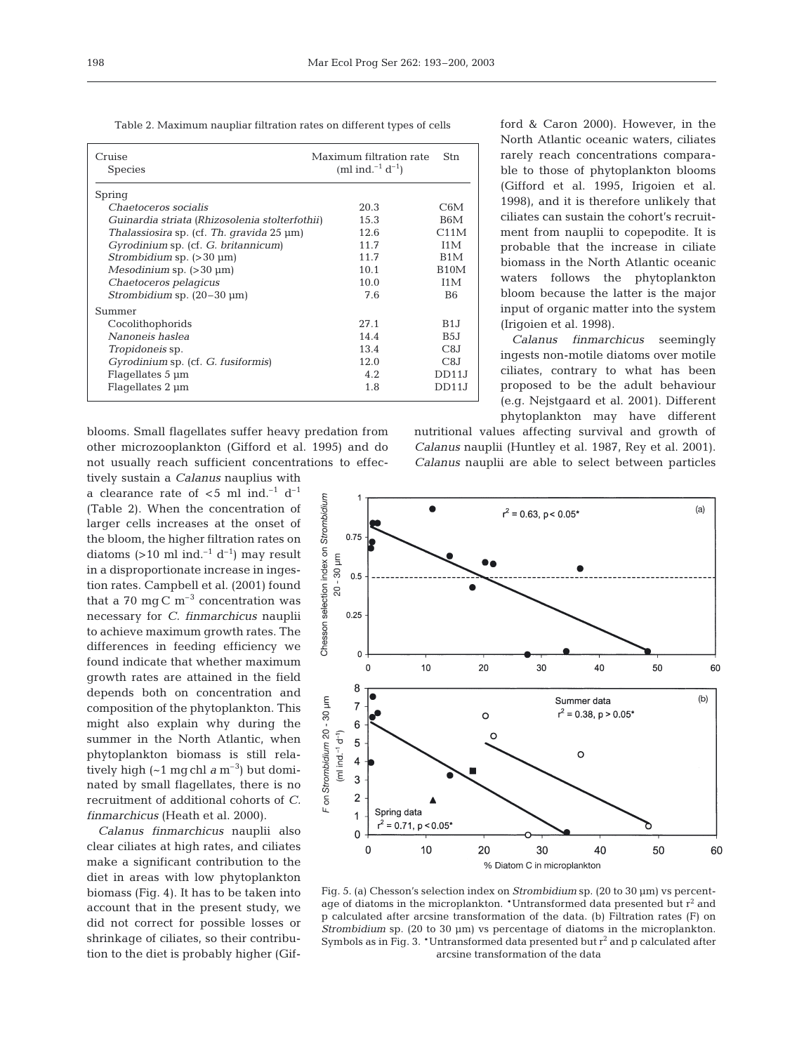198

Table 2. Maximum naupliar filtration rates on different types of cells

| Cruise<br><b>Species</b>                       | Maximum filtration rate<br>(ml ind. <sup>-1</sup> d <sup>-1</sup> ) | <b>Stn</b>        |
|------------------------------------------------|---------------------------------------------------------------------|-------------------|
| Spring                                         |                                                                     |                   |
| Chaetoceros socialis                           | 20.3                                                                | C6M               |
| Guinardia striata (Rhizosolenia stolterfothii) | 15.3                                                                | B6M               |
| Thalassiosira sp. (cf. Th. gravida 25 µm)      | 12.6                                                                | C11M              |
| Gyrodinium sp. (cf. G. britannicum)            | 11.7                                                                | T <sub>1</sub> M  |
| <i>Strombidium</i> sp. $(>30 \mu m)$           | 11.7                                                                | B <sub>1</sub> M  |
| Mesodinium sp. $(>30 \mu m)$                   | 10.1                                                                | B <sub>10</sub> M |
| Chaetoceros pelagicus                          | 10.0                                                                | T <sub>1</sub> M  |
| Strombidium sp. $(20-30 \mu m)$                | 7.6                                                                 | B <sub>6</sub>    |
| Summer                                         |                                                                     |                   |
| Cocolithophorids                               | 27.1                                                                | B1.I              |
| Nanoneis haslea                                | 14.4                                                                | B <sub>5</sub>    |
| Tropidoneis sp.                                | 13.4                                                                | C8J               |
| Gyrodinium sp. (cf. G. fusiformis)             | 12.0                                                                | C8J               |
| Flagellates 5 µm                               | 4.2.                                                                | DD11J             |
| Flagellates 2 um                               | 1.8                                                                 | DD11J             |

blooms. Small flagellates suffer heavy predation from other microzooplankton (Gifford et al. 1995) and do not usually reach sufficient concentrations to effectively sustain a *Calanus* nauplius with

a clearance rate of  $<$ 5 ml ind.<sup>-1</sup> d<sup>-1</sup> (Table 2). When the concentration of larger cells increases at the onset of the bloom, the higher filtration rates on diatoms  $(>10 \text{ ml} \text{ ind.}^{-1} \text{ d}^{-1})$  may result in a disproportionate increase in ingestion rates. Campbell et al. (2001) found that a 70 mg C  $m^{-3}$  concentration was necessary for *C. finmarchicus* nauplii to achieve maximum growth rates. The differences in feeding efficiency we found indicate that whether maximum growth rates are attained in the field depends both on concentration and composition of the phytoplankton. This might also explain why during the summer in the North Atlantic, when phytoplankton biomass is still relatively high  $({\sim}1 \text{ mg chl a m}^{-3})$  but dominated by small flagellates, there is no recruitment of additional cohorts of *C. finmarchicus* (Heath et al. 2000).

*Calanus finmarchicus* nauplii also clear ciliates at high rates, and ciliates make a significant contribution to the diet in areas with low phytoplankton biomass (Fig. 4). It has to be taken into account that in the present study, we did not correct for possible losses or shrinkage of ciliates, so their contribution to the diet is probably higher (Gifford & Caron 2000). However, in the North Atlantic oceanic waters, ciliates rarely reach concentrations comparable to those of phytoplankton blooms (Gifford et al. 1995, Irigoien et al. 1998), and it is therefore unlikely that ciliates can sustain the cohort's recruitment from nauplii to copepodite. It is probable that the increase in ciliate biomass in the North Atlantic oceanic waters follows the phytoplankton bloom because the latter is the major input of organic matter into the system (Irigoien et al. 1998).

*Calanus finmarchicus* seemingly ingests non-motile diatoms over motile ciliates, contrary to what has been proposed to be the adult behaviour (e.g. Nejstgaard et al. 2001). Different phytoplankton may have different

nutritional values affecting survival and growth of *Calanus* nauplii (Huntley et al. 1987, Rey et al. 2001). *Calanus* nauplii are able to select between particles



Fig. 5. (a) Chesson's selection index on *Strombidium* sp. (20 to 30 µm) vs percentage of diatoms in the microplankton. \*Untransformed data presented but  $r^2$  and p calculated after arcsine transformation of the data. (b) Filtration rates (F) on *Strombidium* sp. (20 to 30 µm) vs percentage of diatoms in the microplankton. Symbols as in Fig. 3. \*Untransformed data presented but  $r^2$  and p calculated after arcsine transformation of the data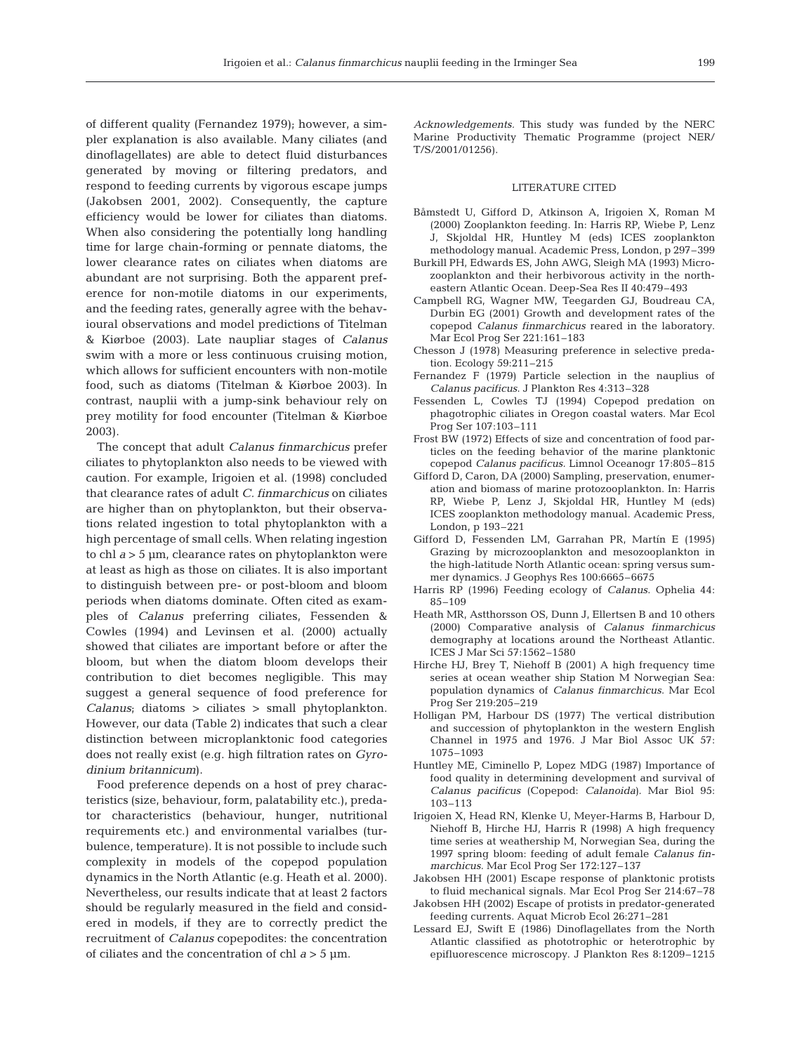of different quality (Fernandez 1979); however, a simpler explanation is also available. Many ciliates (and dinoflagellates) are able to detect fluid disturbances generated by moving or filtering predators, and respond to feeding currents by vigorous escape jumps (Jakobsen 2001, 2002). Consequently, the capture efficiency would be lower for ciliates than diatoms. When also considering the potentially long handling time for large chain-forming or pennate diatoms, the lower clearance rates on ciliates when diatoms are abundant are not surprising. Both the apparent preference for non-motile diatoms in our experiments, and the feeding rates, generally agree with the behavioural observations and model predictions of Titelman & Kiørboe (2003). Late naupliar stages of *Calanus* swim with a more or less continuous cruising motion, which allows for sufficient encounters with non-motile food, such as diatoms (Titelman & Kiørboe 2003). In contrast, nauplii with a jump-sink behaviour rely on prey motility for food encounter (Titelman & Kiørboe 2003).

The concept that adult *Calanus finmarchicus* prefer ciliates to phytoplankton also needs to be viewed with caution. For example, Irigoien et al. (1998) concluded that clearance rates of adult *C. finmarchicus* on ciliates are higher than on phytoplankton, but their observations related ingestion to total phytoplankton with a high percentage of small cells. When relating ingestion to chl *a* > 5 µm, clearance rates on phytoplankton were at least as high as those on ciliates. It is also important to distinguish between pre- or post-bloom and bloom periods when diatoms dominate. Often cited as examples of *Calanus* preferring ciliates, Fessenden & Cowles (1994) and Levinsen et al. (2000) actually showed that ciliates are important before or after the bloom, but when the diatom bloom develops their contribution to diet becomes negligible. This may suggest a general sequence of food preference for *Calanus*; diatoms > ciliates > small phytoplankton. However, our data (Table 2) indicates that such a clear distinction between microplanktonic food categories does not really exist (e.g. high filtration rates on *Gyrodinium britannicum*).

Food preference depends on a host of prey characteristics (size, behaviour, form, palatability etc.), predator characteristics (behaviour, hunger, nutritional requirements etc.) and environmental varialbes (turbulence, temperature). It is not possible to include such complexity in models of the copepod population dynamics in the North Atlantic (e.g. Heath et al. 2000). Nevertheless, our results indicate that at least 2 factors should be regularly measured in the field and considered in models, if they are to correctly predict the recruitment of *Calanus* copepodites: the concentration of ciliates and the concentration of chl  $a > 5$   $\mu$ m.

*Acknowledgements.* This study was funded by the NERC Marine Productivity Thematic Programme (project NER/ T/S/2001/01256).

#### LITERATURE CITED

- Båmstedt U, Gifford D, Atkinson A, Irigoien X, Roman M (2000) Zooplankton feeding. In: Harris RP, Wiebe P, Lenz J, Skjoldal HR, Huntley M (eds) ICES zooplankton methodology manual. Academic Press, London, p 297–399
- Burkill PH, Edwards ES, John AWG, Sleigh MA (1993) Microzooplankton and their herbivorous activity in the northeastern Atlantic Ocean. Deep-Sea Res II 40:479–493
- Campbell RG, Wagner MW, Teegarden GJ, Boudreau CA, Durbin EG (2001) Growth and development rates of the copepod *Calanus finmarchicus* reared in the laboratory. Mar Ecol Prog Ser 221:161–183
- Chesson J (1978) Measuring preference in selective predation. Ecology 59:211–215
- Fernandez F (1979) Particle selection in the nauplius of *Calanus pacificus*. J Plankton Res 4:313–328
- Fessenden L, Cowles TJ (1994) Copepod predation on phagotrophic ciliates in Oregon coastal waters. Mar Ecol Prog Ser 107:103–111
- Frost BW (1972) Effects of size and concentration of food particles on the feeding behavior of the marine planktonic copepod *Calanus pacificus*. Limnol Oceanogr 17:805–815
- Gifford D, Caron, DA (2000) Sampling, preservation, enumeration and biomass of marine protozooplankton. In: Harris RP, Wiebe P, Lenz J, Skjoldal HR, Huntley M (eds) ICES zooplankton methodology manual. Academic Press, London, p 193–221
- Gifford D, Fessenden LM, Garrahan PR, Martín E (1995) Grazing by microzooplankton and mesozooplankton in the high-latitude North Atlantic ocean: spring versus summer dynamics. J Geophys Res 100:6665–6675
- Harris RP (1996) Feeding ecology of *Calanus*. Ophelia 44: 85–109
- Heath MR, Astthorsson OS, Dunn J, Ellertsen B and 10 others (2000) Comparative analysis of *Calanus finmarchicus* demography at locations around the Northeast Atlantic. ICES J Mar Sci 57:1562–1580
- Hirche HJ, Brey T, Niehoff B (2001) A high frequency time series at ocean weather ship Station M Norwegian Sea: population dynamics of *Calanus finmarchicus*. Mar Ecol Prog Ser 219:205–219
- Holligan PM, Harbour DS (1977) The vertical distribution and succession of phytoplankton in the western English Channel in 1975 and 1976. J Mar Biol Assoc UK 57: 1075–1093
- Huntley ME, Ciminello P, Lopez MDG (1987) Importance of food quality in determining development and survival of *Calanus pacificus* (Copepod: *Calanoida)*. Mar Biol 95: 103–113
- Irigoien X, Head RN, Klenke U, Meyer-Harms B, Harbour D, Niehoff B, Hirche HJ, Harris R (1998) A high frequency time series at weathership M, Norwegian Sea, during the 1997 spring bloom: feeding of adult female *Calanus finmarchicus*. Mar Ecol Prog Ser 172:127–137
- Jakobsen HH (2001) Escape response of planktonic protists to fluid mechanical signals. Mar Ecol Prog Ser 214:67–78
- Jakobsen HH (2002) Escape of protists in predator-generated feeding currents. Aquat Microb Ecol 26:271–281
- Lessard EJ, Swift E (1986) Dinoflagellates from the North Atlantic classified as phototrophic or heterotrophic by epifluorescence microscopy. J Plankton Res 8:1209–1215